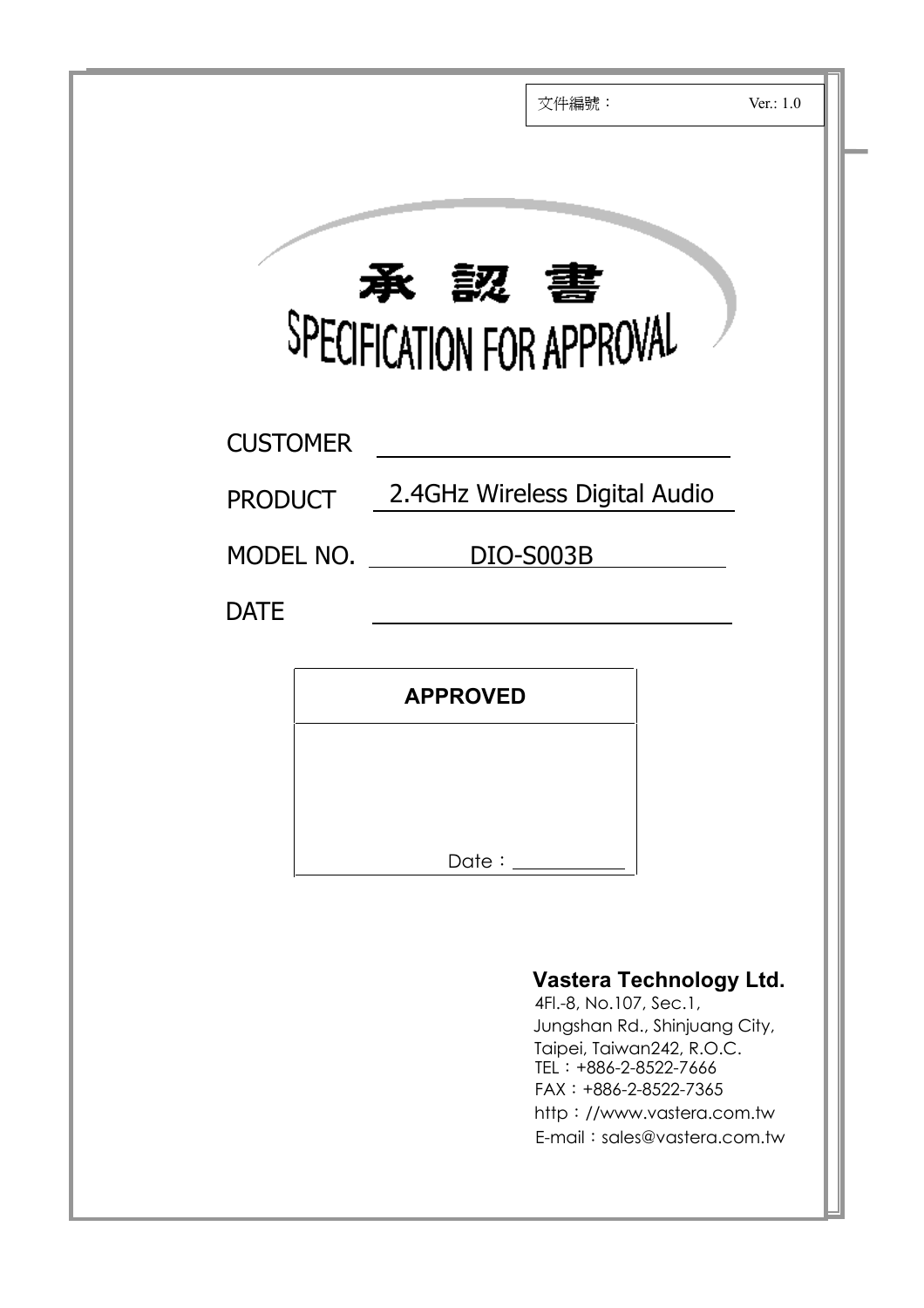|                 | Ver.: $1.0$<br>文件編號:                                                                                                                                                                                                             |
|-----------------|----------------------------------------------------------------------------------------------------------------------------------------------------------------------------------------------------------------------------------|
|                 | <b>承認書</b>                                                                                                                                                                                                                       |
| <b>CUSTOMER</b> |                                                                                                                                                                                                                                  |
| <b>PRODUCT</b>  | 2.4GHz Wireless Digital Audio<br>MODEL NO. DIO-S003B                                                                                                                                                                             |
| <b>DATE</b>     |                                                                                                                                                                                                                                  |
|                 | <b>APPROVED</b>                                                                                                                                                                                                                  |
|                 |                                                                                                                                                                                                                                  |
|                 | Date: 1                                                                                                                                                                                                                          |
|                 | Vastera Technology Ltd.<br>4Fl.-8, No.107, Sec.1,<br>Jungshan Rd., Shinjuang City,<br>Taipei, Taiwan242, R.O.C.<br>TEL: +886-2-8522-7666<br>$FAX: +886-2-8522-7365$<br>http://www.vastera.com.tw<br>E-mail: sales@vastera.com.tw |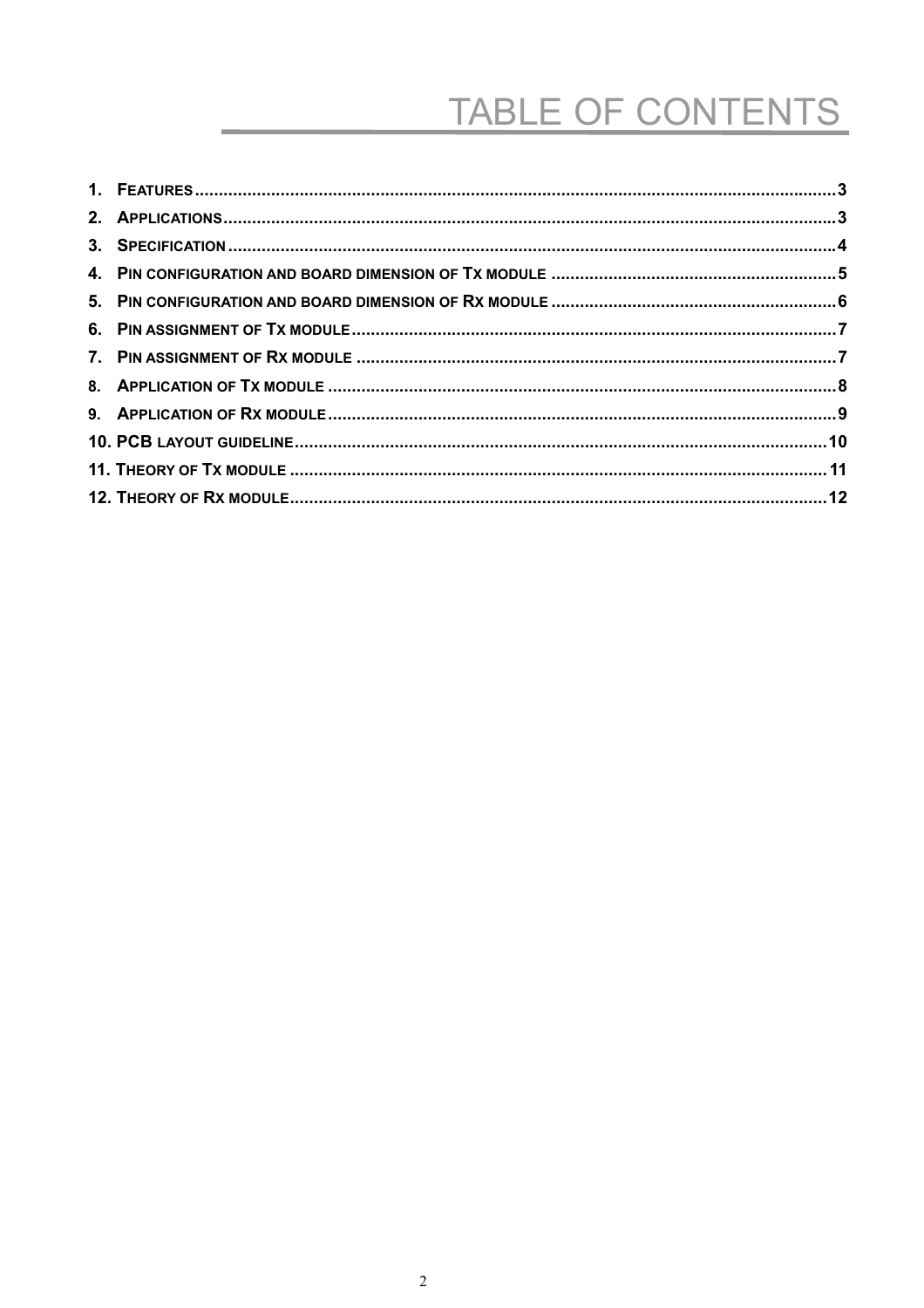# TABLE OF CONTENTS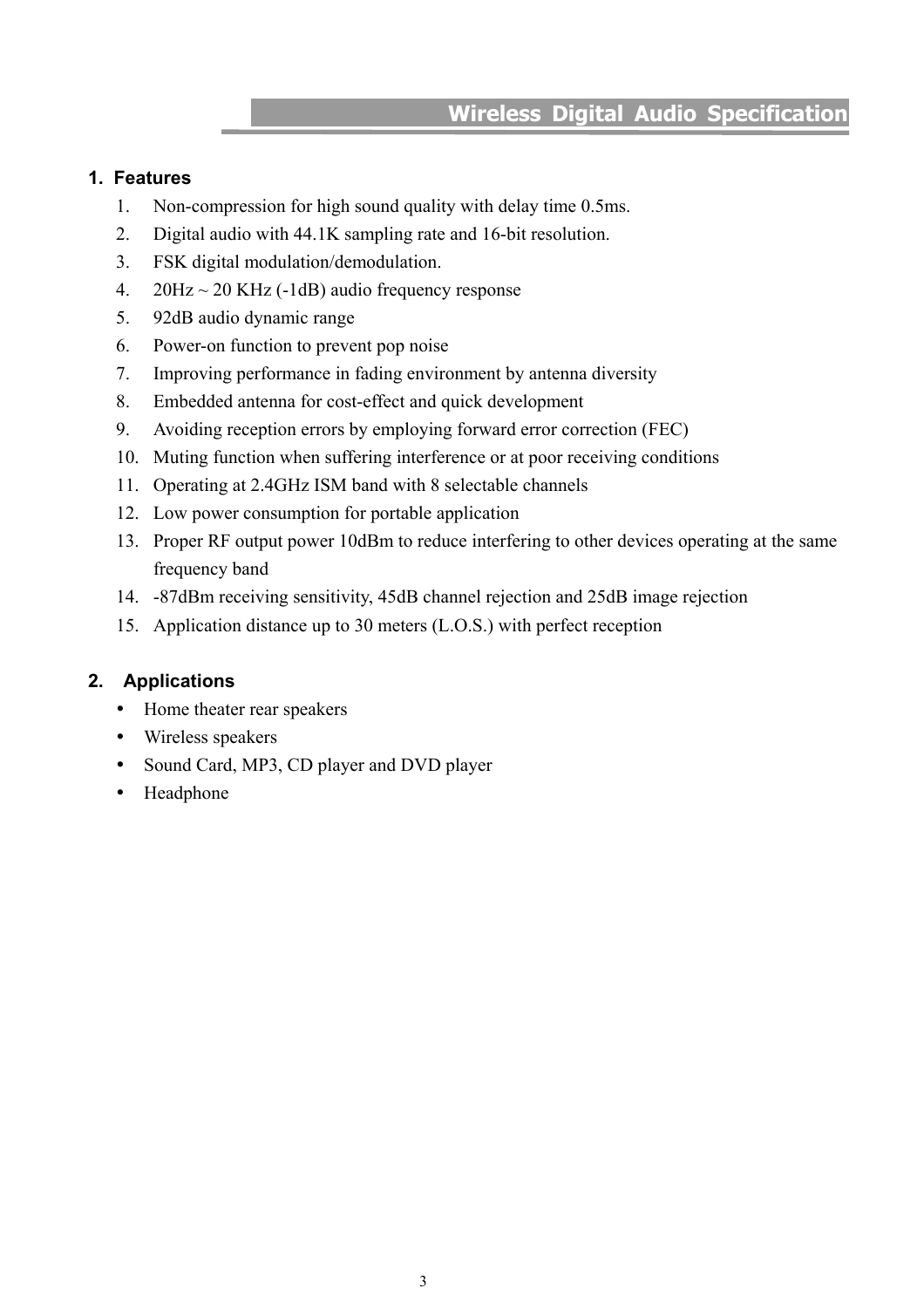#### <span id="page-2-0"></span>**1. Features**

- 1. Non-compression for high sound quality with delay time 0.5ms.
- 2. Digital audio with 44.1K sampling rate and 16-bit resolution.
- 3. FSK digital modulation/demodulation.
- 4.  $20\text{Hz} \sim 20 \text{ KHz}$  (-1dB) audio frequency response
- 5. 92dB audio dynamic range
- 6. Power-on function to prevent pop noise
- 7. Improving performance in fading environment by antenna diversity
- 8. Embedded antenna for cost-effect and quick development
- 9. Avoiding reception errors by employing forward error correction (FEC)
- 10. Muting function when suffering interference or at poor receiving conditions
- 11. Operating at 2.4GHz ISM band with 8 selectable channels
- 12. Low power consumption for portable application
- 13. Proper RF output power 10dBm to reduce interfering to other devices operating at the same frequency band
- 14. -87dBm receiving sensitivity, 45dB channel rejection and 25dB image rejection
- 15. Application distance up to 30 meters (L.O.S.) with perfect reception

#### **2. Applications**

- Home theater rear speakers
- Wireless speakers
- Sound Card, MP3, CD player and DVD player
- Headphone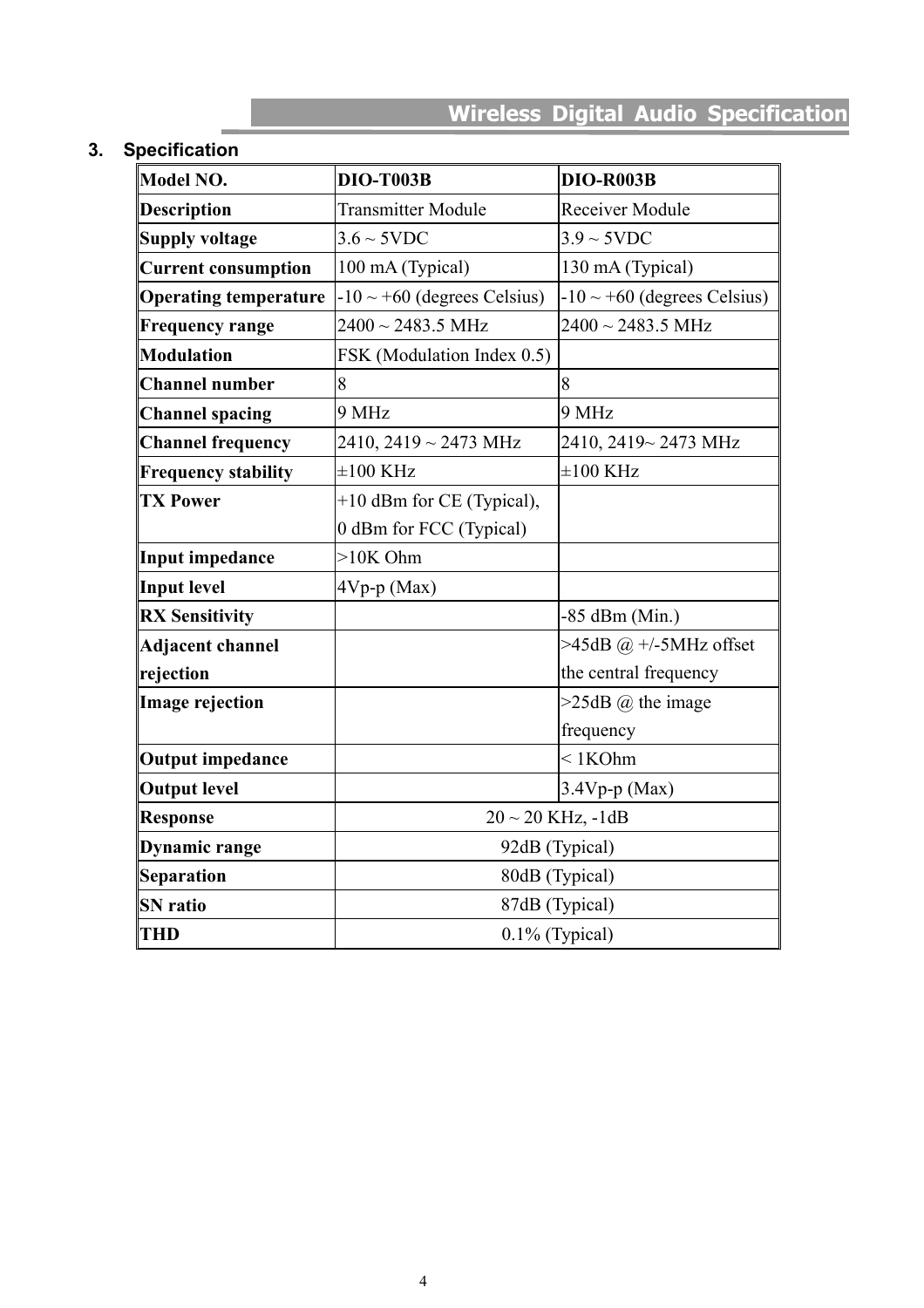#### <span id="page-3-0"></span>**3. Specification**

| Model NO.                                              | <b>DIO-T003B</b>                 | DIO-R003B                        |  |
|--------------------------------------------------------|----------------------------------|----------------------------------|--|
| <b>Description</b>                                     | <b>Transmitter Module</b>        | Receiver Module                  |  |
| <b>Supply voltage</b>                                  | $3.6 \sim 5 \text{VDC}$          | $3.9 \sim 5 \text{VDC}$          |  |
| <b>Current consumption</b>                             | 100 mA (Typical)                 | 130 mA (Typical)                 |  |
| <b>Operating temperature</b>                           | $-10 \sim +60$ (degrees Celsius) | $-10 \sim +60$ (degrees Celsius) |  |
| <b>Frequency range</b>                                 | $2400 \sim 2483.5 \text{ MHz}$   | $2400 \sim 2483.5$ MHz           |  |
| <b>Modulation</b>                                      | FSK (Modulation Index 0.5)       |                                  |  |
| <b>Channel number</b>                                  | 8                                | 8                                |  |
| <b>Channel spacing</b>                                 | 9 MHz                            | 9 MHz                            |  |
| <b>Channel frequency</b><br>$2410, 2419 \sim 2473$ MHz |                                  | 2410, 2419~2473 MHz              |  |
| <b>Frequency stability</b>                             | $\pm 100$ KHz                    | $\pm 100$ KHz                    |  |
| <b>TX Power</b>                                        | +10 dBm for CE (Typical),        |                                  |  |
|                                                        | 0 dBm for FCC (Typical)          |                                  |  |
| <b>Input impedance</b>                                 | $>10K$ Ohm                       |                                  |  |
| <b>Input level</b>                                     | $4Vp-p$ (Max)                    |                                  |  |
| <b>RX Sensitivity</b>                                  |                                  | $-85$ dBm (Min.)                 |  |
| <b>Adjacent channel</b>                                |                                  | $>45dB$ @ +/-5MHz offset         |  |
| rejection                                              |                                  | the central frequency            |  |
| <b>Image rejection</b>                                 |                                  | $>25dB$ ( <i>a</i> ) the image   |  |
|                                                        |                                  | frequency                        |  |
| <b>Output impedance</b>                                |                                  | $< 1$ KOhm                       |  |
| <b>Output level</b>                                    |                                  | $3.4Vp-p$ (Max)                  |  |
| <b>Response</b>                                        | $20 \sim 20$ KHz, $-1dB$         |                                  |  |
| Dynamic range                                          | 92dB (Typical)                   |                                  |  |
| <b>Separation</b>                                      | 80dB (Typical)                   |                                  |  |
| <b>SN</b> ratio                                        | 87dB (Typical)                   |                                  |  |
| <b>THD</b>                                             | $0.1\%$ (Typical)                |                                  |  |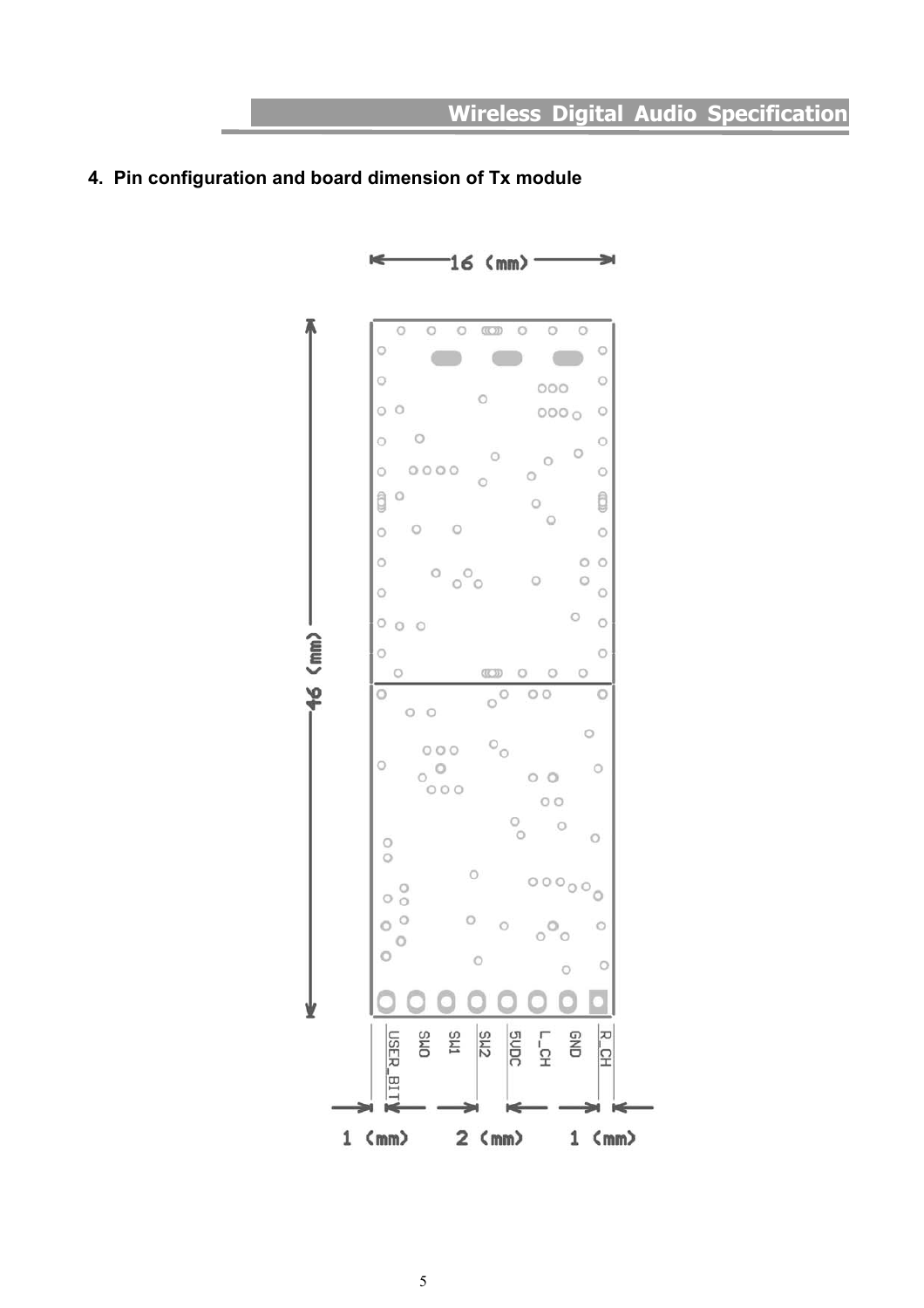#### <span id="page-4-0"></span>**4. Pin configuration and board dimension of Tx module**

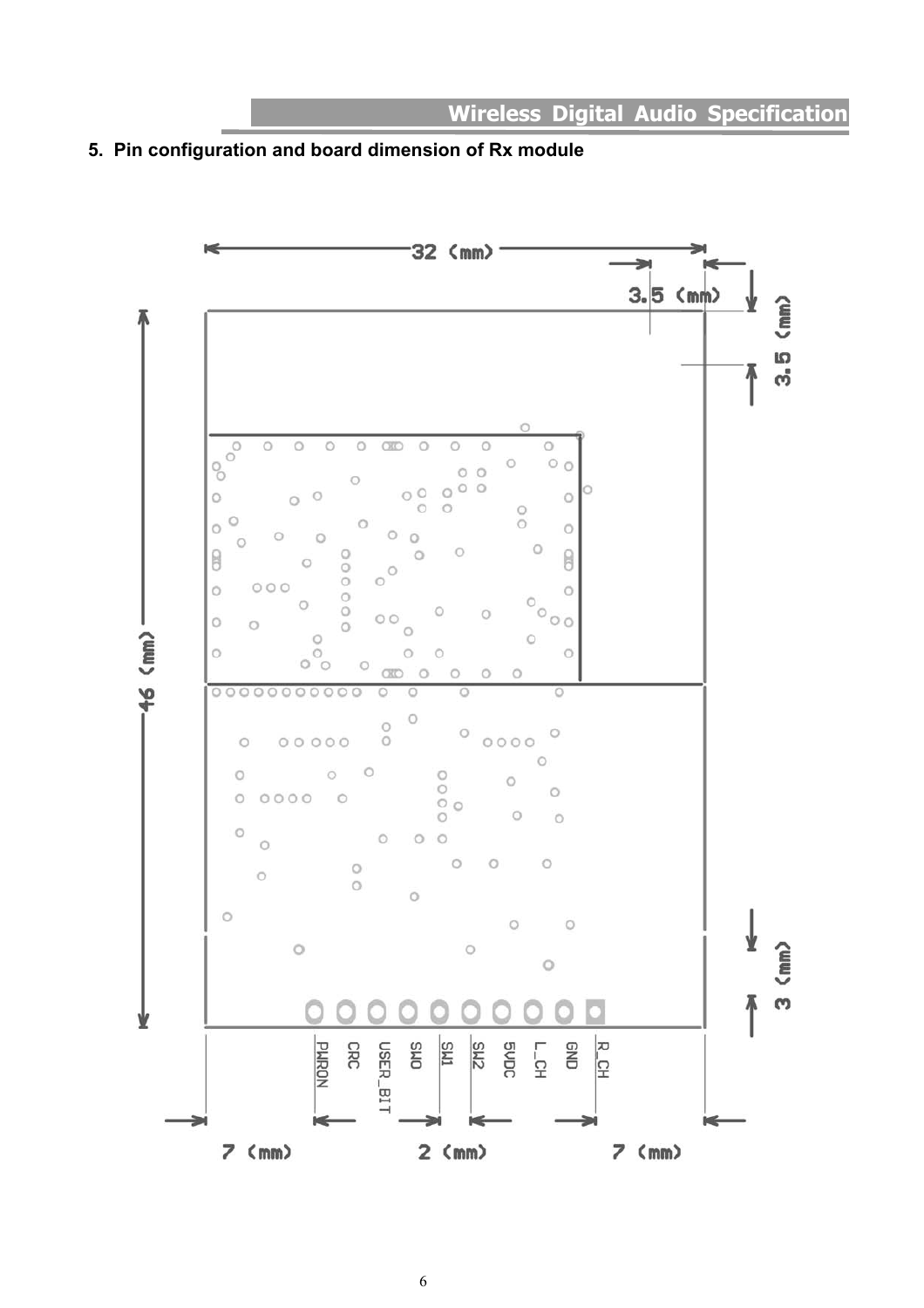<span id="page-5-0"></span>

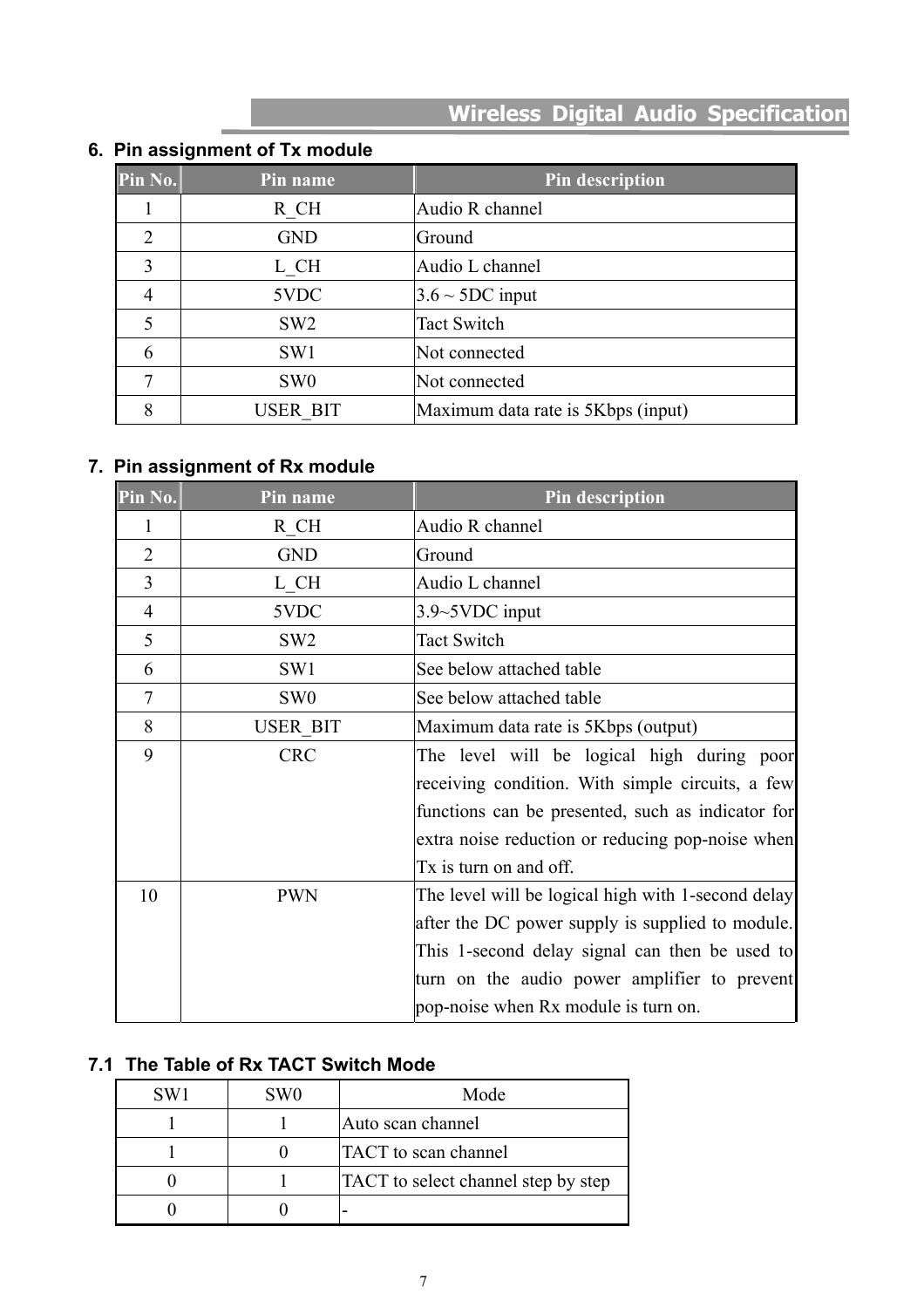# <span id="page-6-0"></span>**6. Pin assignment of Tx module**

| Pin No. | Pin name        | Pin description                    |
|---------|-----------------|------------------------------------|
|         | R CH            | Audio R channel                    |
| 2       | <b>GND</b>      | Ground                             |
| 3       | L CH            | Audio L channel                    |
|         | 5VDC            | $3.6 \sim 5DC$ input               |
|         | SW <sub>2</sub> | <b>Tact Switch</b>                 |
| 6       | SW <sub>1</sub> | Not connected                      |
| 7       | SW <sub>0</sub> | Not connected                      |
| 8       | <b>USER BIT</b> | Maximum data rate is 5Kbps (input) |

#### **7. Pin assignment of Rx module**

| Pin No.        | Pin name                       | <b>Pin description</b>                             |
|----------------|--------------------------------|----------------------------------------------------|
| 1              | R CH                           | Audio R channel                                    |
| $\overline{2}$ | <b>GND</b>                     | Ground                                             |
| 3              | $L$ <sub><math>C</math>H</sub> | Audio L channel                                    |
| $\overline{4}$ | 5VDC                           | 3.9~5VDC input                                     |
| 5              | SW <sub>2</sub>                | <b>Tact Switch</b>                                 |
| 6              | SW1                            | See below attached table                           |
| $\overline{7}$ | SW <sub>0</sub>                | See below attached table                           |
| 8              | <b>USER BIT</b>                | Maximum data rate is 5Kbps (output)                |
| 9              | <b>CRC</b>                     | The level will be logical high during poor         |
|                |                                | receiving condition. With simple circuits, a few   |
|                |                                | functions can be presented, such as indicator for  |
|                |                                | extra noise reduction or reducing pop-noise when   |
|                |                                | Tx is turn on and off.                             |
| 10             | <b>PWN</b>                     | The level will be logical high with 1-second delay |
|                |                                | after the DC power supply is supplied to module.   |
|                |                                | This 1-second delay signal can then be used to     |
|                |                                | turn on the audio power amplifier to prevent       |
|                |                                | pop-noise when Rx module is turn on.               |

## **7.1 The Table of Rx TACT Switch Mode**

| SW <sub>1</sub> | SW <sub>0</sub> | Mode                                       |
|-----------------|-----------------|--------------------------------------------|
|                 |                 | Auto scan channel                          |
|                 |                 | <b>TACT</b> to scan channel                |
|                 |                 | <b>TACT</b> to select channel step by step |
|                 |                 |                                            |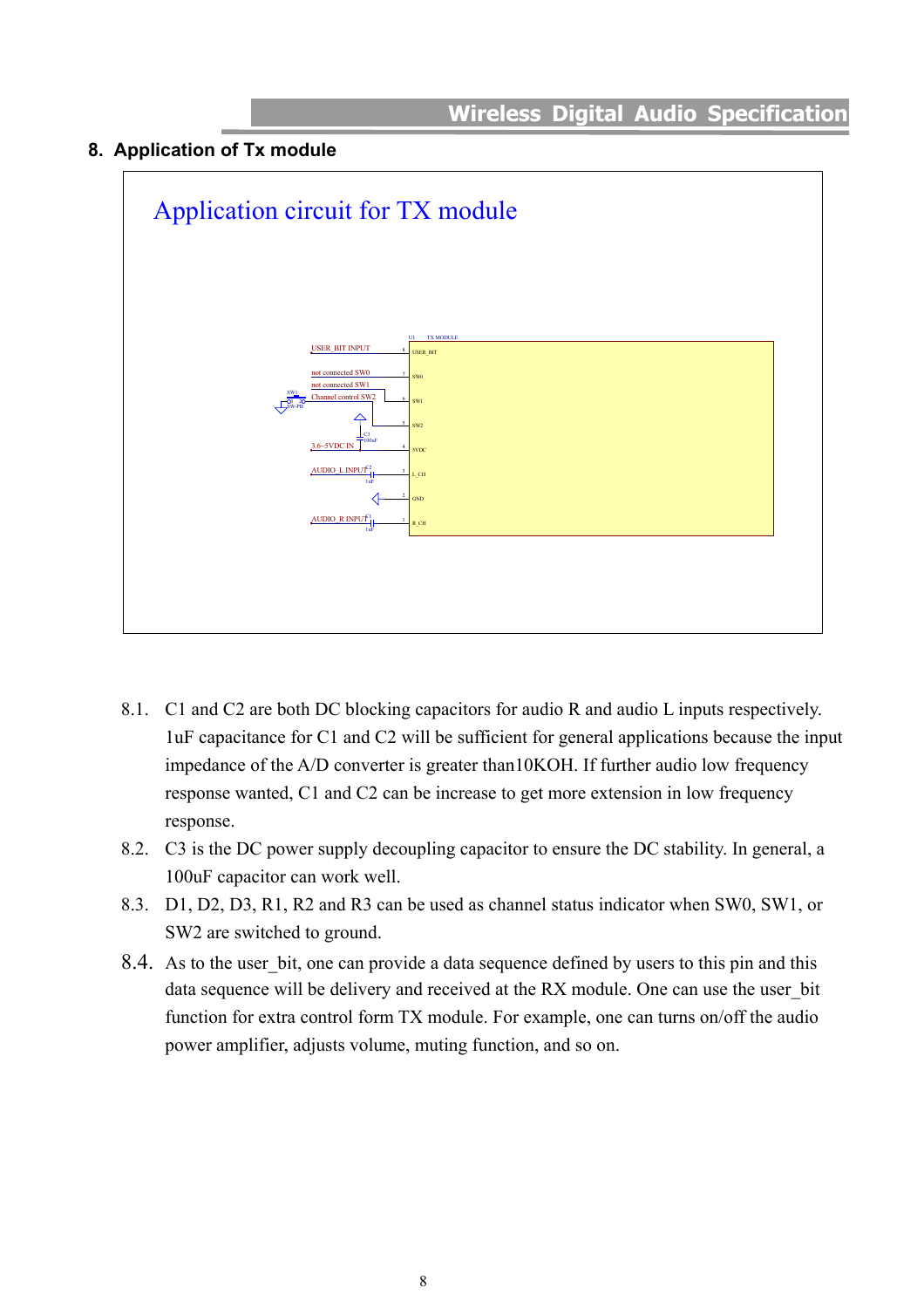#### <span id="page-7-0"></span>**8. Application of Tx module**



- 8.1. C1 and C2 are both DC blocking capacitors for audio R and audio L inputs respectively. 1uF capacitance for C1 and C2 will be sufficient for general applications because the input impedance of the A/D converter is greater than10KOH. If further audio low frequency response wanted, C1 and C2 can be increase to get more extension in low frequency response.
- 8.2. C3 is the DC power supply decoupling capacitor to ensure the DC stability. In general, a 100uF capacitor can work well.
- 8.3. D1, D2, D3, R1, R2 and R3 can be used as channel status indicator when SW0, SW1, or SW2 are switched to ground.
- 8.4. As to the user bit, one can provide a data sequence defined by users to this pin and this data sequence will be delivery and received at the RX module. One can use the user bit function for extra control form TX module. For example, one can turns on/off the audio power amplifier, adjusts volume, muting function, and so on.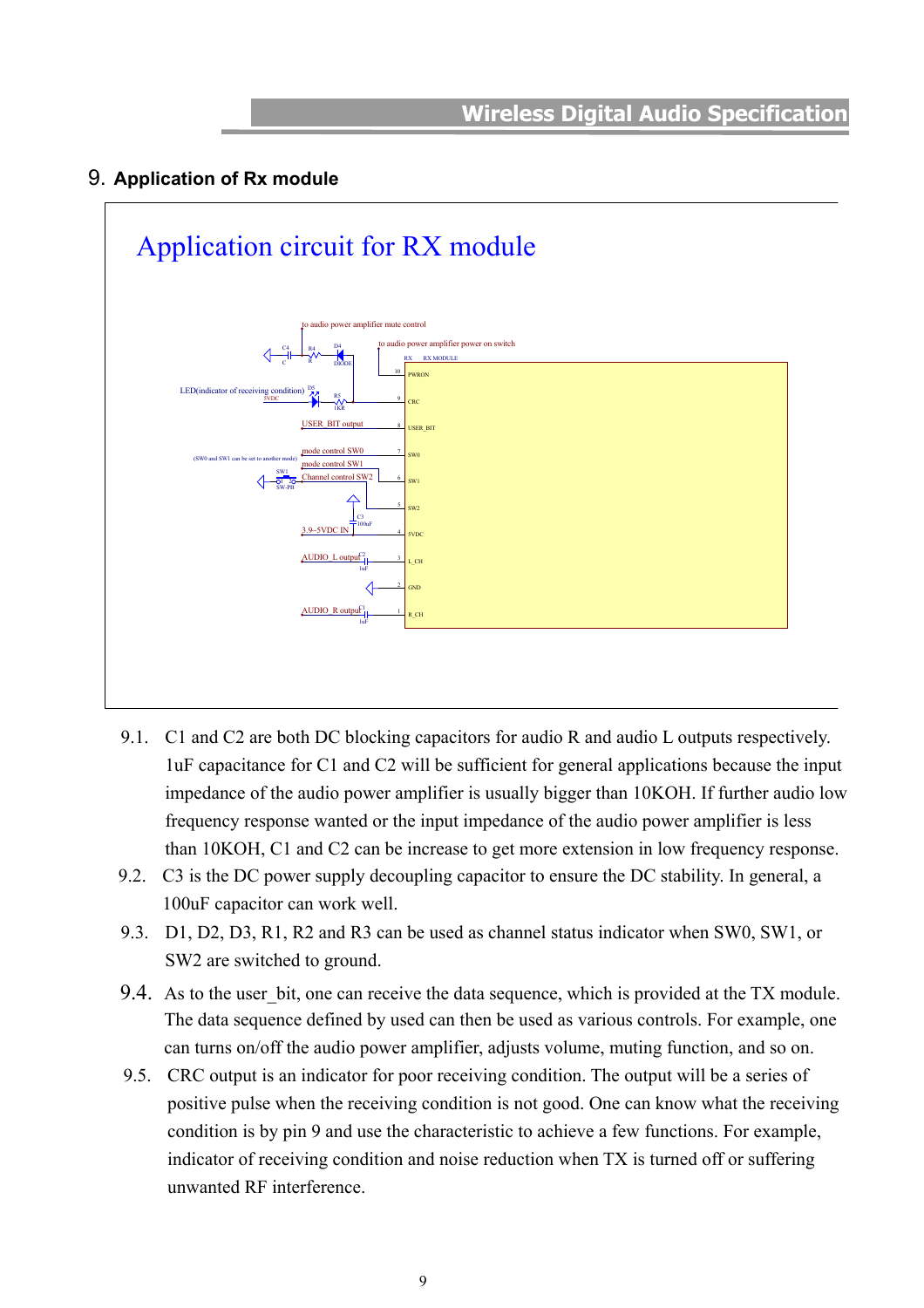#### <span id="page-8-0"></span>9. **Application of Rx module**



- 9.1. C1 and C2 are both DC blocking capacitors for audio R and audio L outputs respectively. 1uF capacitance for C1 and C2 will be sufficient for general applications because the input impedance of the audio power amplifier is usually bigger than 10KOH. If further audio low frequency response wanted or the input impedance of the audio power amplifier is less than 10KOH, C1 and C2 can be increase to get more extension in low frequency response.
- 9.2. C3 is the DC power supply decoupling capacitor to ensure the DC stability. In general, a 100uF capacitor can work well.
- 9.3. D1, D2, D3, R1, R2 and R3 can be used as channel status indicator when SW0, SW1, or SW2 are switched to ground.
- 9.4. As to the user bit, one can receive the data sequence, which is provided at the TX module. The data sequence defined by used can then be used as various controls. For example, one can turns on/off the audio power amplifier, adjusts volume, muting function, and so on.
- 9.5. CRC output is an indicator for poor receiving condition. The output will be a series of positive pulse when the receiving condition is not good. One can know what the receiving condition is by pin 9 and use the characteristic to achieve a few functions. For example, indicator of receiving condition and noise reduction when TX is turned off or suffering unwanted RF interference.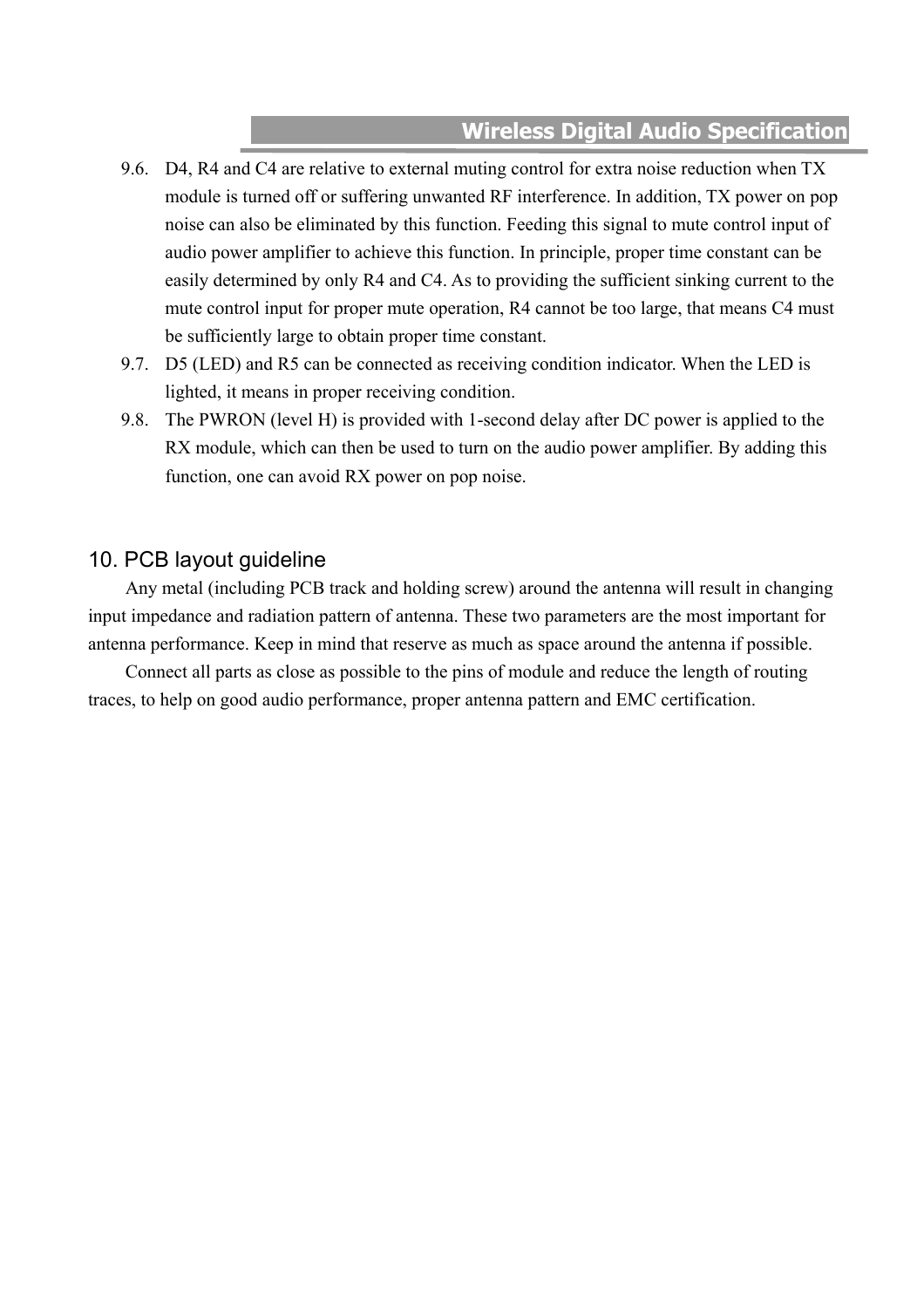- <span id="page-9-0"></span>9.6. D4, R4 and C4 are relative to external muting control for extra noise reduction when TX module is turned off or suffering unwanted RF interference. In addition, TX power on pop noise can also be eliminated by this function. Feeding this signal to mute control input of audio power amplifier to achieve this function. In principle, proper time constant can be easily determined by only R4 and C4. As to providing the sufficient sinking current to the mute control input for proper mute operation, R4 cannot be too large, that means C4 must be sufficiently large to obtain proper time constant.
- 9.7. D5 (LED) and R5 can be connected as receiving condition indicator. When the LED is lighted, it means in proper receiving condition.
- 9.8. The PWRON (level H) is provided with 1-second delay after DC power is applied to the RX module, which can then be used to turn on the audio power amplifier. By adding this function, one can avoid RX power on pop noise.

#### 10. PCB layout guideline

Any metal (including PCB track and holding screw) around the antenna will result in changing input impedance and radiation pattern of antenna. These two parameters are the most important for antenna performance. Keep in mind that reserve as much as space around the antenna if possible.

Connect all parts as close as possible to the pins of module and reduce the length of routing traces, to help on good audio performance, proper antenna pattern and EMC certification.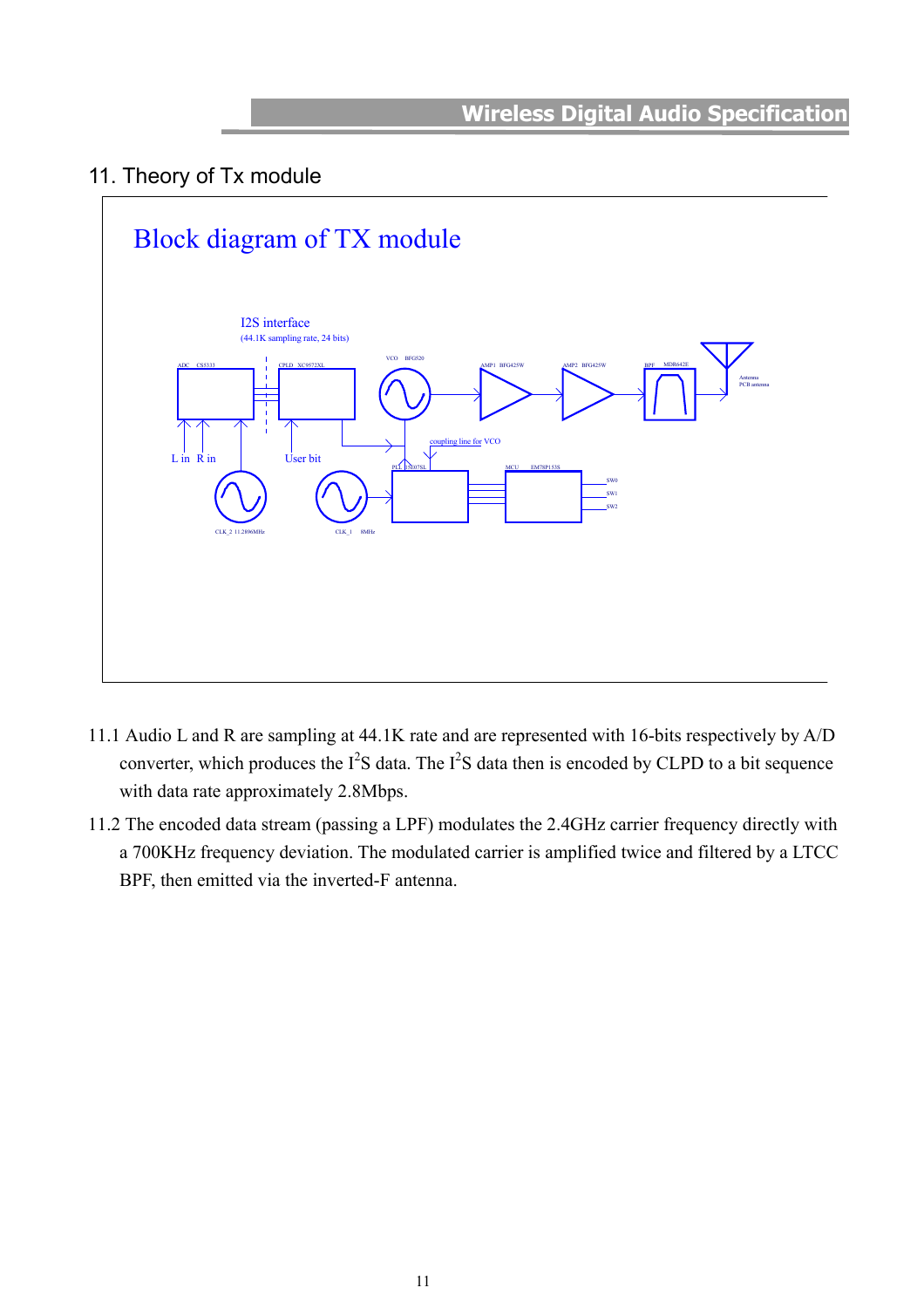## <span id="page-10-0"></span>11. Theory of Tx module



- 11.1 Audio L and R are sampling at 44.1K rate and are represented with 16-bits respectively by A/D converter, which produces the  $I^2S$  data. The  $I^2S$  data then is encoded by CLPD to a bit sequence with data rate approximately 2.8Mbps.
- 11.2 The encoded data stream (passing a LPF) modulates the 2.4GHz carrier frequency directly with a 700KHz frequency deviation. The modulated carrier is amplified twice and filtered by a LTCC BPF, then emitted via the inverted-F antenna.